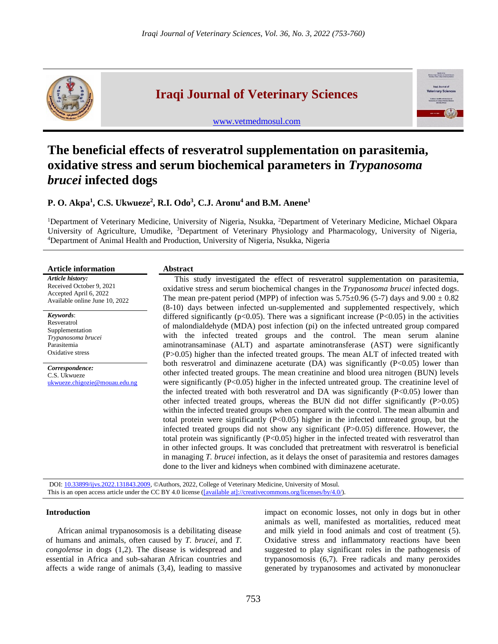

# **Iraqi Journal of Veterinary Sciences**

[www.vetmedmosul.com](http://www.vetmedmosul.com/)



## **The beneficial effects of resveratrol supplementation on parasitemia, oxidative stress and serum biochemical parameters in** *Trypanosoma brucei* **infected dogs**

### **P. O. Akpa<sup>1</sup> , C.S. Ukwueze<sup>2</sup> , R.I. Odo<sup>3</sup> , C.J. Aronu<sup>4</sup> and B.M. Anene<sup>1</sup>**

<sup>1</sup>Department of Veterinary Medicine, University of Nigeria, Nsukka, <sup>2</sup>Department of Veterinary Medicine, Michael Okpara University of Agriculture, Umudike, <sup>3</sup>Department of Veterinary Physiology and Pharmacology, University of Nigeria, <sup>4</sup>Department of Animal Health and Production, University of Nigeria, Nsukka, Nigeria

| <b>Article information</b>                                                                               | <b>Abstract</b>                                                                                                                                                                                                                                                                                                                                                                                                                                                                                                                                                                                                                                                                                                                                                                                                                                                                                                                                                                                                                                                                                                                            |  |  |  |
|----------------------------------------------------------------------------------------------------------|--------------------------------------------------------------------------------------------------------------------------------------------------------------------------------------------------------------------------------------------------------------------------------------------------------------------------------------------------------------------------------------------------------------------------------------------------------------------------------------------------------------------------------------------------------------------------------------------------------------------------------------------------------------------------------------------------------------------------------------------------------------------------------------------------------------------------------------------------------------------------------------------------------------------------------------------------------------------------------------------------------------------------------------------------------------------------------------------------------------------------------------------|--|--|--|
| Article history:<br>Received October 9, 2021<br>Accepted April 6, 2022<br>Available online June 10, 2022 | This study investigated the effect of resveratrol supplementation on parasitemia,<br>oxidative stress and serum biochemical changes in the <i>Trypanosoma brucei</i> infected dogs.<br>The mean pre-patent period (MPP) of infection was $5.75\pm0.96$ (5-7) days and $9.00 \pm 0.82$<br>(8-10) days between infected un-supplemented and supplemented respectively, which                                                                                                                                                                                                                                                                                                                                                                                                                                                                                                                                                                                                                                                                                                                                                                 |  |  |  |
| Keywords:<br>Resveratrol<br>Supplementation<br>Trypanosoma brucei<br>Parasitemia<br>Oxidative stress     | differed significantly ( $p<0.05$ ). There was a significant increase ( $P<0.05$ ) in the activities<br>of malondialdehyde (MDA) post infection (pi) on the infected untreated group compared<br>with the infected treated groups and the control. The mean serum alanine<br>aminotransaminase (ALT) and aspartate aminotransferase (AST) were significantly<br>(P>0.05) higher than the infected treated groups. The mean ALT of infected treated with                                                                                                                                                                                                                                                                                                                                                                                                                                                                                                                                                                                                                                                                                    |  |  |  |
| Correspondence:<br>C.S. Ukwueze<br>ukwueze.chigozie@mouau.edu.ng                                         | both resveratrol and diminazene aceturate (DA) was significantly $(P<0.05)$ lower than<br>other infected treated groups. The mean creatinine and blood urea nitrogen (BUN) levels<br>were significantly $(P<0.05)$ higher in the infected untreated group. The creatinine level of<br>the infected treated with both resveratrol and DA was significantly $(P<0.05)$ lower than<br>other infected treated groups, whereas the BUN did not differ significantly $(P>0.05)$<br>within the infected treated groups when compared with the control. The mean albumin and<br>total protein were significantly $(P<0.05)$ higher in the infected untreated group, but the<br>infected treated groups did not show any significant $(P>0.05)$ difference. However, the<br>total protein was significantly $(P<0.05)$ higher in the infected treated with resveratrol than<br>in other infected groups. It was concluded that pretreatment with resveratrol is beneficial<br>in managing T. brucei infection, as it delays the onset of parasitemia and restores damages<br>done to the liver and kidneys when combined with diminazene aceturate. |  |  |  |

DOI: [10.33899/ijvs.2022.131843.2009,](https://vetmedmosul.com/article_174345.html) ©Authors, 2022, College of Veterinary Medicine, University of Mosul. This is an open access article under the CC BY 4.0 license [\(\[available at\]://creativecommons.org/licenses/by/4.0/\)](http://creativecommons.org/licenses/by/4.0/).

#### **Introduction**

African animal trypanosomosis is a debilitating disease of humans and animals, often caused by *T. brucei*, and *T. congolense* in dogs (1,2). The disease is widespread and essential in Africa and sub-saharan African countries and affects a wide range of animals (3,4), leading to massive impact on economic losses, not only in dogs but in other animals as well, manifested as mortalities, reduced meat and milk yield in food animals and cost of treatment (5). Oxidative stress and inflammatory reactions have been suggested to play significant roles in the pathogenesis of trypanosomosis (6,7). Free radicals and many peroxides generated by trypanosomes and activated by mononuclear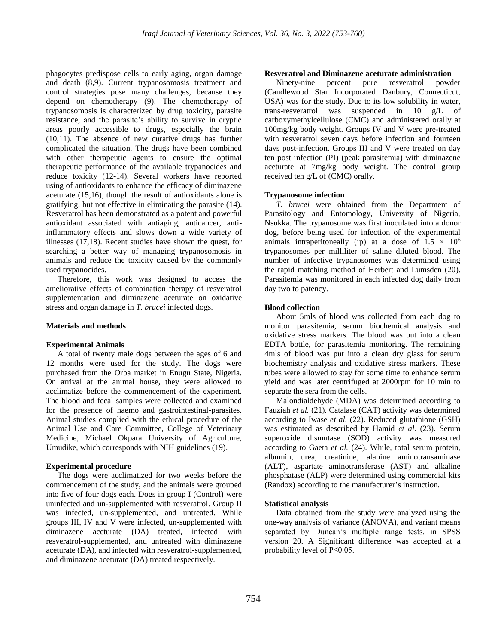phagocytes predispose cells to early aging, organ damage and death (8,9). Current trypanosomosis treatment and control strategies pose many challenges, because they depend on chemotherapy (9). The chemotherapy of trypanosomosis is characterized by drug toxicity, parasite resistance, and the parasite's ability to survive in cryptic areas poorly accessible to drugs, especially the brain (10,11). The absence of new curative drugs has further complicated the situation. The drugs have been combined with other therapeutic agents to ensure the optimal therapeutic performance of the available trypanocides and reduce toxicity (12-14). Several workers have reported using of antioxidants to enhance the efficacy of diminazene aceturate (15,16), though the result of antioxidants alone is gratifying, but not effective in eliminating the parasite (14). Resveratrol has been demonstrated as a potent and powerful antioxidant associated with antiaging, anticancer, antiinflammatory effects and slows down a wide variety of illnesses (17,18). Recent studies have shown the quest, for searching a better way of managing trypanosomosis in animals and reduce the toxicity caused by the commonly used trypanocides.

Therefore, this work was designed to access the ameliorative effects of combination therapy of resveratrol supplementation and diminazene aceturate on oxidative stress and organ damage in *T. brucei* infected dogs.

#### **Materials and methods**

#### **Experimental Animals**

A total of twenty male dogs between the ages of 6 and 12 months were used for the study. The dogs were purchased from the Orba market in Enugu State, Nigeria. On arrival at the animal house, they were allowed to acclimatize before the commencement of the experiment. The blood and fecal samples were collected and examined for the presence of haemo and gastrointestinal-parasites. Animal studies complied with the ethical procedure of the Animal Use and Care Committee, College of Veterinary Medicine, Michael Okpara University of Agriculture, Umudike, which corresponds with NIH guidelines (19).

#### **Experimental procedure**

The dogs were acclimatized for two weeks before the commencement of the study, and the animals were grouped into five of four dogs each. Dogs in group I (Control) were uninfected and un-supplemented with resveratrol. Group II was infected, un-supplemented, and untreated. While groups III, IV and V were infected, un-supplemented with diminazene aceturate (DA) treated, infected with resveratrol-supplemented, and untreated with diminazene aceturate (DA), and infected with resveratrol-supplemented, and diminazene aceturate (DA) treated respectively.

#### **Resveratrol and Diminazene aceturate administration**

Ninety-nine percent pure resveratrol powder (Candlewood Star Incorporated Danbury, Connecticut, USA) was for the study. Due to its low solubility in water, trans-resveratrol was suspended in 10 g/L of carboxymethylcellulose (CMC) and administered orally at 100mg/kg body weight. Groups IV and V were pre-treated with resveratrol seven days before infection and fourteen days post-infection. Groups III and V were treated on day ten post infection (PI) (peak parasitemia) with diminazene aceturate at 7mg/kg body weight. The control group received ten g/L of (CMC) orally.

#### **Trypanosome infection**

*T. brucei* were obtained from the Department of Parasitology and Entomology, University of Nigeria, Nsukka. The trypanosome was first inoculated into a donor dog, before being used for infection of the experimental animals intraperitoneally (ip) at a dose of  $1.5 \times 10^6$ trypanosomes per milliliter of saline diluted blood. The number of infective trypanosomes was determined using the rapid matching method of Herbert and Lumsden (20). Parasitemia was monitored in each infected dog daily from day two to patency.

#### **Blood collection**

About 5mls of blood was collected from each dog to monitor parasitemia, serum biochemical analysis and oxidative stress markers. The blood was put into a clean EDTA bottle, for parasitemia monitoring. The remaining 4mls of blood was put into a clean dry glass for serum biochemistry analysis and oxidative stress markers. These tubes were allowed to stay for some time to enhance serum yield and was later centrifuged at 2000rpm for 10 min to separate the sera from the cells.

Malondialdehyde (MDA) was determined according to Fauziah *et al.* (21). Catalase (CAT) activity was determined according to Iwase *et al.* (22). Reduced glutathione (GSH) was estimated as described by Hamid *et al.* (23). Serum superoxide dismutase (SOD) activity was measured according to Gaeta *et al.* (24). While, total serum protein, albumin, urea, creatinine, alanine aminotransaminase (ALT), aspartate aminotransferase (AST) and alkaline phosphatase (ALP) were determined using commercial kits (Randox) according to the manufacturer's instruction.

#### **Statistical analysis**

Data obtained from the study were analyzed using the one-way analysis of variance (ANOVA), and variant means separated by Duncan's multiple range tests, in SPSS version 20. A Significant difference was accepted at a probability level of P≤0.05.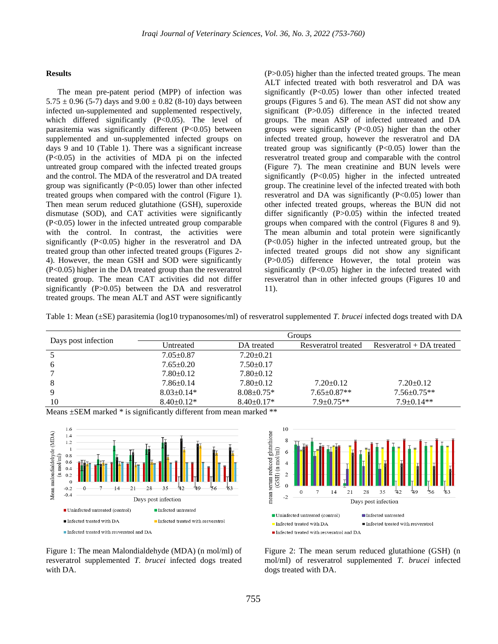#### **Results**

The mean pre-patent period (MPP) of infection was  $5.75 \pm 0.96$  (5-7) days and  $9.00 \pm 0.82$  (8-10) days between infected un-supplemented and supplemented respectively, which differed significantly  $(P<0.05)$ . The level of parasitemia was significantly different (P<0.05) between supplemented and un-supplemented infected groups on days 9 and 10 (Table 1). There was a significant increase (P<0.05) in the activities of MDA pi on the infected untreated group compared with the infected treated groups and the control. The MDA of the resveratrol and DA treated group was significantly  $(P<0.05)$  lower than other infected treated groups when compared with the control (Figure 1). Then mean serum reduced glutathione (GSH), superoxide dismutase (SOD), and CAT activities were significantly (P<0.05) lower in the infected untreated group comparable with the control. In contrast, the activities were significantly (P<0.05) higher in the resveratrol and DA treated group than other infected treated groups (Figures 2- 4). However, the mean GSH and SOD were significantly (P<0.05) higher in the DA treated group than the resveratrol treated group. The mean CAT activities did not differ significantly (P>0.05) between the DA and resveratrol treated groups. The mean ALT and AST were significantly

(P>0.05) higher than the infected treated groups. The mean ALT infected treated with both resveratrol and DA was significantly (P<0.05) lower than other infected treated groups (Figures 5 and 6). The mean AST did not show any significant (P>0.05) difference in the infected treated groups. The mean ASP of infected untreated and DA groups were significantly (P<0.05) higher than the other infected treated group, however the resveratrol and DA treated group was significantly (P<0.05) lower than the resveratrol treated group and comparable with the control (Figure 7). The mean creatinine and BUN levels were significantly (P<0.05) higher in the infected untreated group. The creatinine level of the infected treated with both resveratrol and DA was significantly  $(P<0.05)$  lower than other infected treated groups, whereas the BUN did not differ significantly (P>0.05) within the infected treated groups when compared with the control (Figures 8 and 9). The mean albumin and total protein were significantly (P<0.05) higher in the infected untreated group, but the infected treated groups did not show any significant (P>0.05) difference However, the total protein was significantly (P<0.05) higher in the infected treated with resveratrol than in other infected groups (Figures 10 and 11).

Table 1: Mean (±SE) parasitemia (log10 trypanosomes/ml) of resveratrol supplemented *T. brucei* infected dogs treated with DA

| Days post infection | Groups           |                  |                     |                            |
|---------------------|------------------|------------------|---------------------|----------------------------|
|                     | Untreated        | DA treated       | Resveratrol treated | $Resveratrol + DA$ treated |
|                     | $7.05 \pm 0.87$  | $7.20 \pm 0.21$  |                     |                            |
| 6                   | $7.65 \pm 0.20$  | $7.50+0.17$      |                     |                            |
|                     | $7.80\pm0.12$    | $7.80 \pm 0.12$  |                     |                            |
| 8                   | $7.86 \pm 0.14$  | $7.80 \pm 0.12$  | $7.20 \pm 0.12$     | $7.20 \pm 0.12$            |
| 9                   | $8.03 \pm 0.14*$ | $8.08 \pm 0.75*$ | $7.65 \pm 0.87**$   | $7.56 \pm 0.75**$          |
| 10                  | $8.40+0.12*$     | $8.40+0.17*$     | $7.9 + 0.75**$      | $7.9+0.14**$               |

Means  $\pm$ SEM marked \* is significantly different from mean marked \*\*





Figure 1: The mean Malondialdehyde (MDA) (n mol/ml) of resveratrol supplemented *T. brucei* infected dogs treated with DA.

Figure 2: The mean serum reduced glutathione (GSH) (n mol/ml) of resveratrol supplemented *T. brucei* infected dogs treated with DA.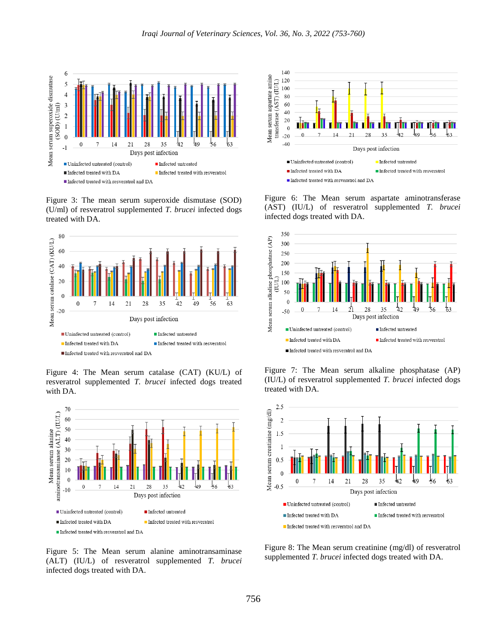

Figure 3: The mean serum superoxide dismutase (SOD) (U/ml) of resveratrol supplemented *T. brucei* infected dogs treated with DA.



Figure 4: The Mean serum catalase (CAT) (KU/L) of resveratrol supplemented *T. brucei* infected dogs treated with DA.



Figure 5: The Mean serum alanine aminotransaminase (ALT) (IU/L) of resveratrol supplemented *T. brucei* infected dogs treated with DA.



Figure 6: The Mean serum aspartate aminotransferase (AST) (IU/L) of resveratrol supplemented *T. brucei* infected dogs treated with DA.



Figure 7: The Mean serum alkaline phosphatase (AP) (IU/L) of resveratrol supplemented *T. brucei* infected dogs treated with DA.



Figure 8: The Mean serum creatinine (mg/dl) of resveratrol supplemented *T. brucei* infected dogs treated with DA.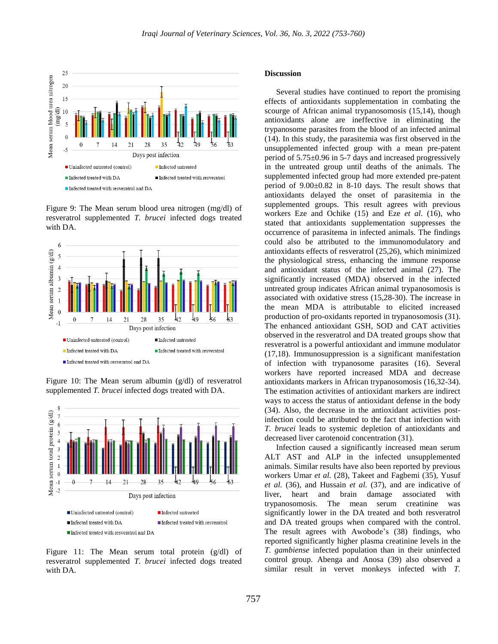

Figure 9: The Mean serum blood urea nitrogen (mg/dl) of resveratrol supplemented *T. brucei* infected dogs treated with DA.



Figure 10: The Mean serum albumin (g/dl) of resveratrol supplemented *T. brucei* infected dogs treated with DA.



Figure 11: The Mean serum total protein (g/dl) of resveratrol supplemented *T. brucei* infected dogs treated with DA.

#### **Discussion**

Several studies have continued to report the promising effects of antioxidants supplementation in combating the scourge of African animal trypanosomosis (15,14), though antioxidants alone are ineffective in eliminating the trypanosome parasites from the blood of an infected animal (14). In this study, the parasitemia was first observed in the unsupplemented infected group with a mean pre-patent period of 5.75±0.96 in 5-7 days and increased progressively in the untreated group until deaths of the animals. The supplemented infected group had more extended pre-patent period of  $9.00\pm0.82$  in 8-10 days. The result shows that antioxidants delayed the onset of parasitemia in the supplemented groups. This result agrees with previous workers Eze and Ochike (15) and Eze *et al*. (16), who stated that antioxidants supplementation suppresses the occurrence of parasitema in infected animals. The findings could also be attributed to the immunomodulatory and antioxidants effects of resveratrol (25,26), which minimized the physiological stress, enhancing the immune response and antioxidant status of the infected animal (27). The significantly increased (MDA) observed in the infected untreated group indicates African animal trypanosomosis is associated with oxidative stress (15,28-30). The increase in the mean MDA is attributable to elicited increased production of pro-oxidants reported in trypanosomosis (31). The enhanced antioxidant GSH, SOD and CAT activities observed in the resveratrol and DA treated groups show that resveratrol is a powerful antioxidant and immune modulator (17,18). Immunosuppression is a significant manifestation of infection with trypanosome parasites (16). Several workers have reported increased MDA and decrease antioxidants markers in African trypanosomosis (16,32-34). The estimation activities of antioxidant markers are indirect ways to access the status of antioxidant defense in the body (34). Also, the decrease in the antioxidant activities postinfection could be attributed to the fact that infection with *T. brucei* leads to systemic depletion of antioxidants and decreased liver carotenoid concentration (31).

Infection caused a significantly increased mean serum ALT AST and ALP in the infected unsupplemented animals. Similar results have also been reported by previous workers Umar *et al.* (28), Takeet and Fagbemi (35), Yusuf *et al.* (36), and Hussain *et al.* (37), and are indicative of liver, heart and brain damage associated with trypanosomosis. The mean serum creatinine was significantly lower in the DA treated and both resveratrol and DA treated groups when compared with the control. The result agrees with Awobode's (38) findings, who reported significantly higher plasma creatinine levels in the *T. gambiense* infected population than in their uninfected control group. Abenga and Anosa (39) also observed a similar result in vervet monkeys infected with *T.*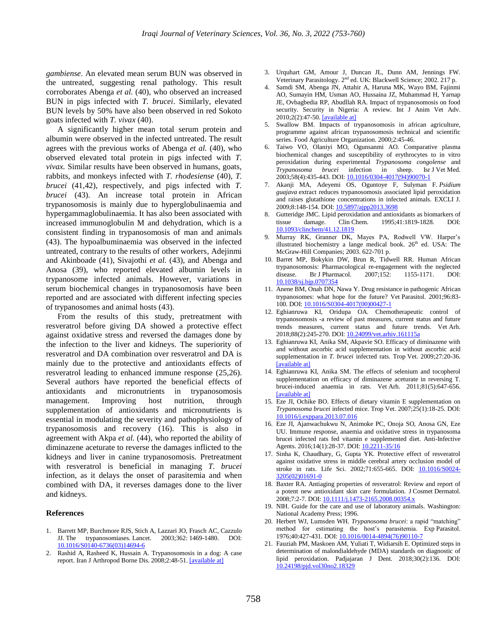*gambiense*. An elevated mean serum BUN was observed in the untreated, suggesting renal pathology. This result corroborates Abenga *et al.* (40), who observed an increased BUN in pigs infected with *T. brucei*. Similarly, elevated BUN levels by 50% have also been observed in red Sokoto goats infected with *T. vivax* (40).

A significantly higher mean total serum protein and albumin were observed in the infected untreated. The result agrees with the previous works of Abenga *et al.* (40), who observed elevated total protein in pigs infected with *T. vivax.* Similar results have been observed in humans, goats, rabbits, and monkeys infected with *T. rhodesiense* (40), *T. brucei* (41,42), respectively, and pigs infected with *T. brucei* (43). An increase total protein in African trypanosomosis is mainly due to hyperglobulinaemia and hypergammaglobulinaemia. It has also been associated with increased immunoglobulin M and dehydration, which is a consistent finding in trypanosomosis of man and animals (43). The hypoalbuminaemia was observed in the infected untreated, contrary to the results of other workers, Adejinmi and Akinboade (41), Sivajothi *et al.* (43), and Abenga and Anosa (39), who reported elevated albumin levels in trypanosome infected animals. However, variations in serum biochemical changes in trypanosomosis have been reported and are associated with different infecting species of trypanosomes and animal hosts (43).

From the results of this study, pretreatment with resveratrol before giving DA showed a protective effect against oxidative stress and reversed the damages done by the infection to the liver and kidneys. The superiority of resveratrol and DA combination over resveratrol and DA is mainly due to the protective and antioxidants effects of resveratrol leading to enhanced immune response (25,26). Several authors have reported the beneficial effects of antioxidants and micronutrients in trypanosomosis management. Improving host nutrition, through supplementation of antioxidants and micronutrients is essential in modulating the severity and pathophysiology of trypanosomosis and recovery (16). This is also in agreement with Akpa *et al.* (44), who reported the ability of diminazene aceturate to reverse the damages inflicted to the kidneys and liver in canine trypanosomosis. Pretreatment with resveratrol is beneficial in managing *T. brucei*  infection, as it delays the onset of parasitemia and when combined with DA, it reverses damages done to the liver and kidneys.

#### **References**

- 1. Barrett MP, Burchmore RJS, Stich A, Lazzari JO, Frasch AC, Cazzulo JJ. The trypanosomiases. Lancet. 2003;362: 1469-1480. DOI: [10.1016/S0140-6736\(03\)14694-6](https://doi.org/10.1016/S0140-6736(03)14694-6)
- 2. Rashid A, Rasheed K, Hussain A. Trypanosomosis in a dog: A case report. Iran J Arthropod Borne Dis. 2008;2:48-51. [\[available at\]](https://www.sid.ir/en/journal/ViewPaper.aspx?id=140084)
- 3. Urquhart GM, Amour J, Duncan JL, Dunn AM, Jennings FW. Veterinary Parasitology. 2<sup>nd</sup> ed. UK: Blackwell Science; 2002. 217 p.
- 4. Samdi SM, Abenga JN, Attahir A, Haruna MK, Wayo BM, Fajinmi AO, Sumayin HM, Usman AO, Hussaina JZ, Muhammad H, Yarnap JE, Ovbagbedia RP, Abudllah RA. Impact of trypanosomosis on food security. Security in Nigeria: A review. Int J Anim Vet Adv. 2010;2(2):47-50. [\[available at\]](http://maxwellsci.com/print/ijava/v2-47-50.pdf)
- 5. Swallow BM. Impacts of trypanosomosis in african agriculture, programme against african trypanosomosis technical and scientific series. Food Agriculture Organization. 2000;2:45-46.
- 6. Taiwo VO, Olaniyi MO, Ogunsanmi AO. Comparative plasma biochemical changes and susceptibility of erythrocytes to in vitro peroxidation during experimental *Trypanosoma congolense* and *Trypanosoma brucei* infection in sheep. Isr J Vet Med. 2003;58(4):435-443. DOI[: 10.1016/0304-4017\(94\)90070-1](https://doi.org/10.1016/0304-4017(94)90070-1)
- 7. Akanji MA, Adeyemi OS, Oguntoye F, Sulyman F. *Psidium guajava* extract reduces trypanosomosis associated lipid peroxidation and raises glutathione concentrations in infected animals. EXCLI J. 2009;8:148-154. DOI[: 10.5897/ajpp2013.3698](https://doi.org/10.5897/ajpp2013.3698)
- Gutteridge JMC. Lipid peroxidation and antioxidants as biomarkers of tissue damage. Clin Chem. 1995;41:1819-1828. DOI: [10.1093/clinchem/41.12.1819](https://doi.org/10.1093/clinchem/41.12.1819)
- 9. Murray RK, Granner DK, Mayes PA, Rodwell VW. Harper's illustrated biochemistry a lange medical book.  $26<sup>th</sup>$  ed. USA: The McGraw-Hill Companies; 2003. 622-701 p.
- 10. Barret MP, Bokykin DW, Brun R, Tidwell RR. Human African trypanosomosis: Pharmacological re-engagement with the neglected disease. Br J Pharmacol. 2007;152: 1155-1171. DOI: [10.1038/sj.bjp.0707354](https://doi.org/10.1038/sj.bjp.0707354)
- 11. Anene BM, Onah DN, Nawa Y. Drug resistance in pathogenic African trypanosomes: what hope for the future? Vet Parasitol. 2001;96:83- 100. DOI: [10.1016/S0304-4017\(00\)00427-1](https://doi.org/10.1016/S0304-4017(00)00427-1)
- 12. Eghianruwa KI, Oridupa OA. Chemotherapeutic control of trypanosomosis -a review of past measures, current status and future trends measures, current status and future trends. Vet Arh. 2018;88(2):245-270. DOI: [10.24099/vet.arhiv.161115a](https://doi.org/10.24099/vet.arhiv.161115a)
- 13. Eghianruwa KI, Anika SM, Akpavie SO. Efficacy of diminazene with and without ascorbic acid supplementation in without ascorbic acid supplementation in *T. brucei* infected rats. Trop Vet. 2009;27:20-36. [\[available at\]](http://www.ajol.info/journal_index.php?jid=24)
- 14. Eghianruwa KI, Anika SM. The effects of selenium and tocopherol supplementation on efficacy of diminazene aceturate in reversing T. brucei-induced anaemia in rats. Vet Arh. 2011;81(5):647-656. [\[available at\]](https://hrcak.srce.hr/72964)
- 15. Eze JI, Ochike BO. Effects of dietary vitamin E supplementation on *Trypanosoma brucei* infected mice. Trop Vet. 2007;25(1):18-25. DOI: [10.1016/j.exppara.2013.07.016](https://doi.org/10.1016/j.exppara.2013.07.016)
- 16. Eze JI, Ajanwachukwu N, Animoke PC, Onoja SO, Anosa GN, Eze UU. Immune response, anaemia and oxidative stress in trypanosoma brucei infected rats fed vitamin e supplemented diet. Anti-Infective Agents. 2016;14(1):28-37. DOI: [10.2211-35/16](http://www.doi.org/10.2211-35/16)
- 17. Sinha K, Chaudhary, G, Gupta YK. Protective effect of resveratrol against oxidative stress in middle cerebral artery occlusion model of stroke in rats. Life Sci. 2002;71:655-665. DOI: [10.1016/S0024-](https://doi.org/10.1016/S0024-3205(02)01691-0) [3205\(02\)01691-0](https://doi.org/10.1016/S0024-3205(02)01691-0)
- 18. Baxter RA. Antiaging properties of resveratrol: Review and report of a potent new antioxidant skin care formulation. J Cosmet Dermatol. 2008;7:2-7. DOI: [10.1111/j.1473-2165.2008.00354.x](https://doi.org/10.1111/j.1473-2165.2008.00354.x)
- 19. NIH. Guide for the care and use of laboratory animals. Washington: National Academy Press; 1996.
- 20. Herbert WJ, Lumsden WH. *Trypanosoma brucei*: a rapid "matching" method for estimating the host's parasitemia. Exp Parasitol. 1976;40:427-431. DOI: [10.1016/0014-4894\(76\)90110-7](https://doi.org/10.1016/0014-4894(76)90110-7)
- 21. Fauziah PM, Maskoen AM, Yuliati T, Widiarsih E. Optimized steps in determination of malondialdehyde (MDA) standards on diagnostic of lipid peroxidation. Padjajaran J Dent. 2018;30(2):136. DOI: [10.24198/pjd.vol30no2.18329](http://dx.doi.org/10.24198/pjd.vol30no2.18329)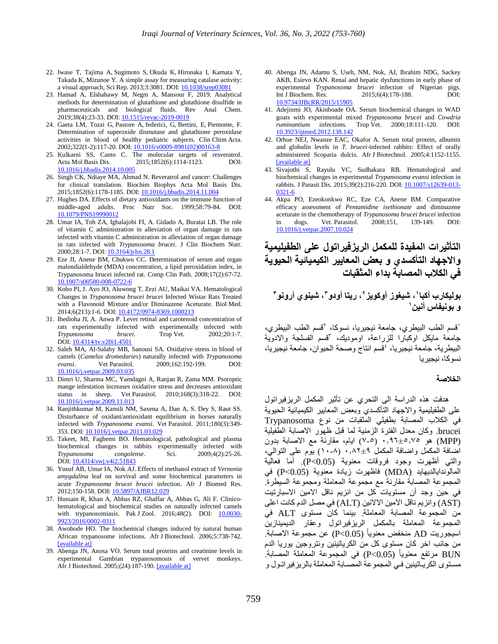- 22. Iwase T, Tajima A, Sugimoto S, Okuda K, Hironaka I, Kamata Y, Takada K, Mizunoe Y. A simple assay for measuring catalase activity: a visual approach, Sci Rep. 2013;3:3081. DOI: [10.1038/srep03081](https://dx.doi.org/10.1038%2Fsrep03081)
- 23. Hamad A, Elshahawy M, Negm A, Mansour F, 2019. Analytical methods for determination of glutathione and glutathione disulfide in pharmaceuticals and biological fluids. Rev Anal Chem. 2019;38(4):23-33. DOI: [10.1515/revac-2019-0019](http://dx.doi.org/10.1515/revac-2019-0019)
- 24. Gaeta LM, Tozzi G, Pastore A, federici, G, Bertini, E, Piemonte, F. Determination of superoxide dismutase and glutathione peroxidase activities in blood of healthy pediatric subjects. Clin Chim Acta. 2002;322(1-2):117-20. DOI: [10.1016/s0009-8981\(02\)00163-8](https://doi.org/10.1016/s0009-8981(02)00163-8)
- 25. Kulkarni SS, Canto C. The molecular targets of resveratrol. Acta Mol Basis Dis. 2015;1852(6):1114-1123. DOI: [10.1016/j.bbadis.2014.10.005](https://doi.org/10.1016/j.bbadis.2014.10.005)
- 26. Singh CK, Ndiaye MA, Ahmad N. Reveratrol and cancer: Challenges for clinical translation. Biochim Biophys Acta Mol Basis Dis. 2015;1852(6):1178-1185. DOI: [10.1016/j.bbadis.2014.11.004](https://doi.org/10.1016/j.bbadis.2014.11.004)
- 27. Hughes DA. Effects of dietary antioxidants on the immune function of middle-aged adults. Proc Nutr Soc. 1999;58:79-84. DOI: [10.1079/PNS19990012](https://doi.org/10.1079/PNS19990012)
- 28. Umar IA, Toh ZA, Igbalajobi FI, A. Gidado A, Buratai LB. The role of vitamin C administration in alleviation of organ damage in rats infected with vitamin C administration in alleviation of organ damage in rats infected with *Trypanosoma brucei*. J Clin Biochem Nutr. 2000;28:1-7. DOI: [10.3164/jcbn.28.1](https://doi.org/10.3164/jcbn.28.1)
- 29. Eze JI, Anene BM, Chukwu CC. Determination of serum and organ malondialdehyde (MDA) concentration, a lipid peroxidation index, in Trypanosoma brucei infected rat. Comp Clin Path. 2008;17(2):67-72. [10.1007/s00580-008-0722-6](https://doi.org/10.1007/s00580-008-0722-6)
- 30. Kobo PI, J. Ayo JO, Aluwong T, Zezi AU, Maikai VA. Hematological Changes in *Trypanosoma brucei brucei* Infected Wistar Rats Treated with a Flavonoid Mixture and/or Diminazene Aceturate. Biol Med. 2014;6(213):1-6. DOI: [10.4172/0974-8369.1000213](http://www.doi.org/10.4172/0974-8369.1000213)
- 31. Ihedioha JI, A. Anwa P. Lever retinal and carotenoid concentration of rats experimentally infected with experimentally infected with *Trypanosoma brucei*. Trop Vet. 2002;20:1-7. DOI: [10.4314/tv.v20i1.4501](https://doi.org/10.4314/tv.v20i1.4501)
- 32. Saleh MA, Al-Salahy MB, Sanousi SA. Oxidative stress in blood of camels (*Camelus dromedaries*) naturally infected with *Trypanosoma evansi*. Vet Parasitol. 2009;162:192-199. DOI: [10.1016/j.vetpar.2009.03.035](https://doi.org/10.1016/j.vetpar.2009.03.035)
- 33. Dimri U, Sharma MC, Yamdagni A, Ranjan R, Zama MM. Psoroptic mange infestation increases oxidative stress and decreases antioxidant status in sheep. Vet Parasitol. 2010;168(3):318-22. DOI: [10.1016/j.vetpar.2009.11.013](https://doi.org/10.1016/j.vetpar.2009.11.013)
- 34. Ranjithkumar M, Kamili NM, Saxena A, Dan A, S. Dey S, Raut SS. Disturbance of oxidant/antioxidant equilibrium in horses naturally infected with *Trypanosoma evansi*. Vet Parasitol. 2011;180(3):349- 353. DOI[: 10.1016/j.vetpar.2011.03.029](https://doi.org/10.1016/j.vetpar.2011.03.029)
- 35. Takeet, MI, Fagbemi BO. Hematological, pathological and plasma biochemical changes in rabbits experimentally infected with *Trypanosoma congolense*. Sci. 2009;4(2):25-26. DOI: [10.4314/swj.v4i2.51843](https://doi.org/10.4314/swj.v4i2.51843)
- 36. Yusuf AB, Umar IA, Nok AJ. Effects of methanol extract of *Vernonia amygdalina* leaf on survival and some biochemical parameters in acute *Trypanosoma brucei brucei* infection. Afr J Biomed Res. 2012;150-158. DOI[: 10.5897/AJBR12.029](http://www.doi.org/10.5897/AJBR12.029)
- 37. Hussain R, Khan A, Abbas RZ, Ghaffar A, Abbas G, Ali F. Clinicohematological and biochemical studies on naturally infected camels with trypanosomiasis. Pak J Zool. 2016;48(2). DOI: [10.0030-](http://www.doi.org/10.0030-9923/2016/0002-0311) [9923/2016/0002-0311](http://www.doi.org/10.0030-9923/2016/0002-0311)
- 38. Awobode HO. The biochemical changes induced by natural human African trypanosome infections. Afr J Biotechnol. 2006;5:738-742. [\[available at\]](http://www.academicjournals.org/AJB)
- 39. Abenga JN, Anosa VO. Serum total proteins and creatinine levels in experimental Gambian trypanosomosis of vervet monkeys. Afr J Biotechnol. 2005;(24):187-190. [\[available at\]](http://www.academicjournals.org/AJB)
- 40. Abenga JN, Adamu S, Useh, NM, Nok, AJ, Ibrahim NDG, Sackey AKB, Esievo KAN. Renal and hepatic dysfunctions in early phase of experimental *Trypanosoma brucei* infection of Nigerian pigs. Int J Biochem. Res. 2015;6(4):178-188. DOI: [10.9734/IJBcRR/2015/15905](http://www.doi.org/10.9734/IJBcRR/2015/15905)
- 41. Adejinmi JO, Akinboade OA. Serum biochemical changes in WAD goats with experimental mixed *Trypanosoma brucei* and *Cowdria ruminantium* infections. Trop Vet. 2000;18:111-120. DOI: [10.3923/ijtmed.2012.138.142](https://doi.org/10.3923/ijtmed.2012.138.142)
- 42. Orhue NEJ, Nwanze EAC, Okafor A. Serum total protein, albumin and globulin levels in *T. brucei*-infected rabbits: Effect of orally administered Scoparia dulcis. Afr J Biotechnol. 2005;4:1152-1155. [\[available at\]](http://www.academicjournals.org/AJB)
- 43. Sivajothi S, Rayulu VC, Sudhakara RB. Hematological and biochemical changes in experimental *Trypanosoma evansi* infection in rabbits. J Parasit Dis. 2015;39(2):216-220. DOI[: 10.1007/s12639-013-](http://www.doi.org/10.1007/s12639-013-0321-6) [0321-6](http://www.doi.org/10.1007/s12639-013-0321-6)
- 44. Akpa PO, Ezeokonkwo RC, Eze CA, Anene BM. Comparative efficacy assessment of *Pentamidine isethionate* and diminazene aceturate in the chemotherapy of *Trypanosoma brucei brucei* infection in dogs. Vet. Parasitol. 2008;151, 139-149. DOI: [10.1016/j.vetpar.2007.10.024](https://doi.org/10.1016/j.vetpar.2007.10.024)

## **التأثيرات المفيدة للمكمل الريزفيراتول على الطفيليمية واالجهاد التأكسدي و بعض المعايير الكيميائية الحيوية في الكالب المصابة بداء المثقبات**

### **1 بوليكارب أكبا ، شيغوز أوكويز ، ريتا أودو <sup>2</sup> ، شينوي أرونو <sup>3</sup> 3 1 و بونيفاس أنين**

'قسم الطب البيطري، جامعة نيجيريا، نسوكا، <sup>٢</sup>قسم الطب البيطري، جامعة مايكل اوكبارا للزراعة، اوموديك، "قسم الفسلجة والادوية البيطرية، جامعة نيجيريا، <sup>،</sup>قسم انتاج وصحة الحيوان، جامعة نيجيريا، نسوكا، نيجيريا

#### **الخالصة**

هدفت هذه الدراسة الى التحري عن تأثير المكمل الريزفيراتول على الطفيليمية واالجهاد التأكسدي وبعض المعايير الكيميائية الحيوية في الكالب المصابة بطفيلي المثقبات من نوع Trypanosoma brucei. وكان معدل الفترة الزمنية لما قبل ظهور االصابة الطفيلية (MPP (هو 0.96±5.75 )7-5( ايام، مقارنة مع االصابة بدون اضافة المكمل واضافة المكمل 0.82±9 )10-8( يوم على التوالي، والتي أظهرت وجود فروقات معنوية (0.05>P(. أما فعالية المالوندايالديهايد (MDA (فاظهرت زيادة معنوية (0.05>P (في المجموعة المصابة مقارنة مع مجموعة المعاملة ومجموعة السيطرة. في حين وجد أن مستويات كل من انزيم ناقل االمين االسبارتيت (AST (وانزيم ناقل االمين االالنين (ALT (في مصل الدم كانت اعلى من المجموعة المصابة المعاملة. بينما كان مستوى ALT في المجموعة المعاملة بالمكمل الريزفيراتول وعقار الديمينازين منخفض معنويا (0.05>P (عن مجموعة االصابة. اسيجوريت AD من جانب اخر كان مستوى كل من الكرياتينين ونتروجين يوريا الدم BUN مرتفع معنويا (0.05>P (في المجموعة المعاملة المصابة. مسـتوى الكريـاتينين فـي المجموعة المصـابة المعاملة بالريزفيراتـول و